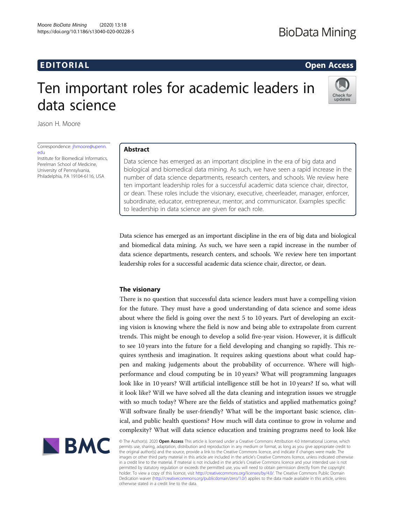# EDI TORIA L Open Access

# Ten important roles for academic leaders in data science



Jason H. Moore

Correspondence: [jhmoore@upenn.](mailto:jhmoore@upenn.edu) [edu](mailto:jhmoore@upenn.edu)

Institute for Biomedical Informatics, Perelman School of Medicine, University of Pennsylvania, Philadelphia, PA 19104-6116, USA

# Abstract

Data science has emerged as an important discipline in the era of big data and biological and biomedical data mining. As such, we have seen a rapid increase in the number of data science departments, research centers, and schools. We review here ten important leadership roles for a successful academic data science chair, director, or dean. These roles include the visionary, executive, cheerleader, manager, enforcer, subordinate, educator, entrepreneur, mentor, and communicator. Examples specific to leadership in data science are given for each role.

Data science has emerged as an important discipline in the era of big data and biological and biomedical data mining. As such, we have seen a rapid increase in the number of data science departments, research centers, and schools. We review here ten important leadership roles for a successful academic data science chair, director, or dean.

### The visionary

There is no question that successful data science leaders must have a compelling vision for the future. They must have a good understanding of data science and some ideas about where the field is going over the next 5 to 10 years. Part of developing an exciting vision is knowing where the field is now and being able to extrapolate from current trends. This might be enough to develop a solid five-year vision. However, it is difficult to see 10 years into the future for a field developing and changing so rapidly. This requires synthesis and imagination. It requires asking questions about what could happen and making judgements about the probability of occurrence. Where will highperformance and cloud computing be in 10 years? What will programming languages look like in 10 years? Will artificial intelligence still be hot in 10 years? If so, what will it look like? Will we have solved all the data cleaning and integration issues we struggle with so much today? Where are the fields of statistics and applied mathematics going? Will software finally be user-friendly? What will be the important basic science, clinical, and public health questions? How much will data continue to grow in volume and complexity? What will data science education and training programs need to look like



© The Author(s). 2020 Open Access This article is licensed under a Creative Commons Attribution 4.0 International License, which permits use, sharing, adaptation, distribution and reproduction in any medium or format, as long as you give appropriate credit to the original author(s) and the source, provide a link to the Creative Commons licence, and indicate if changes were made. The images or other third party material in this article are included in the article's Creative Commons licence, unless indicated otherwise in a credit line to the material. If material is not included in the article's Creative Commons licence and your intended use is not permitted by statutory regulation or exceeds the permitted use, you will need to obtain permission directly from the copyright<br>holder. To view a copy of this licence, visit [http://creativecommons.org/licenses/by/4.0/.](http://creativecommons.org/licenses/by/4.0/) The Dedication waiver [\(http://creativecommons.org/publicdomain/zero/1.0/](http://creativecommons.org/publicdomain/zero/1.0/)) applies to the data made available in this article, unless otherwise stated in a credit line to the data.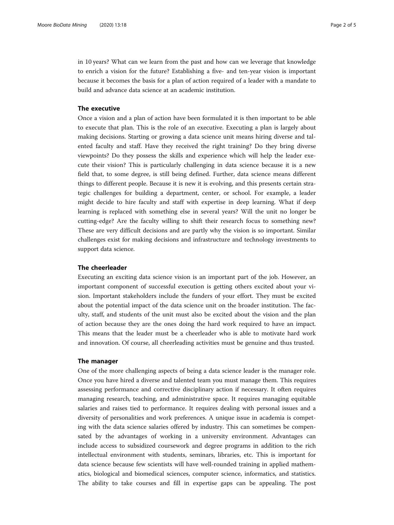in 10 years? What can we learn from the past and how can we leverage that knowledge to enrich a vision for the future? Establishing a five- and ten-year vision is important because it becomes the basis for a plan of action required of a leader with a mandate to build and advance data science at an academic institution.

# The executive

Once a vision and a plan of action have been formulated it is then important to be able to execute that plan. This is the role of an executive. Executing a plan is largely about making decisions. Starting or growing a data science unit means hiring diverse and talented faculty and staff. Have they received the right training? Do they bring diverse viewpoints? Do they possess the skills and experience which will help the leader execute their vision? This is particularly challenging in data science because it is a new field that, to some degree, is still being defined. Further, data science means different things to different people. Because it is new it is evolving, and this presents certain strategic challenges for building a department, center, or school. For example, a leader might decide to hire faculty and staff with expertise in deep learning. What if deep learning is replaced with something else in several years? Will the unit no longer be cutting-edge? Are the faculty willing to shift their research focus to something new? These are very difficult decisions and are partly why the vision is so important. Similar challenges exist for making decisions and infrastructure and technology investments to support data science.

### The cheerleader

Executing an exciting data science vision is an important part of the job. However, an important component of successful execution is getting others excited about your vision. Important stakeholders include the funders of your effort. They must be excited about the potential impact of the data science unit on the broader institution. The faculty, staff, and students of the unit must also be excited about the vision and the plan of action because they are the ones doing the hard work required to have an impact. This means that the leader must be a cheerleader who is able to motivate hard work and innovation. Of course, all cheerleading activities must be genuine and thus trusted.

#### The manager

One of the more challenging aspects of being a data science leader is the manager role. Once you have hired a diverse and talented team you must manage them. This requires assessing performance and corrective disciplinary action if necessary. It often requires managing research, teaching, and administrative space. It requires managing equitable salaries and raises tied to performance. It requires dealing with personal issues and a diversity of personalities and work preferences. A unique issue in academia is competing with the data science salaries offered by industry. This can sometimes be compensated by the advantages of working in a university environment. Advantages can include access to subsidized coursework and degree programs in addition to the rich intellectual environment with students, seminars, libraries, etc. This is important for data science because few scientists will have well-rounded training in applied mathematics, biological and biomedical sciences, computer science, informatics, and statistics. The ability to take courses and fill in expertise gaps can be appealing. The post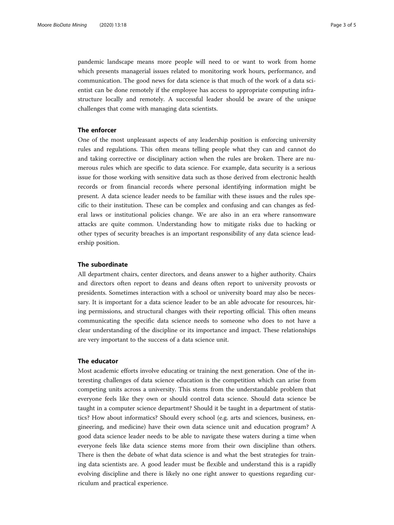pandemic landscape means more people will need to or want to work from home which presents managerial issues related to monitoring work hours, performance, and communication. The good news for data science is that much of the work of a data scientist can be done remotely if the employee has access to appropriate computing infrastructure locally and remotely. A successful leader should be aware of the unique challenges that come with managing data scientists.

#### The enforcer

One of the most unpleasant aspects of any leadership position is enforcing university rules and regulations. This often means telling people what they can and cannot do and taking corrective or disciplinary action when the rules are broken. There are numerous rules which are specific to data science. For example, data security is a serious issue for those working with sensitive data such as those derived from electronic health records or from financial records where personal identifying information might be present. A data science leader needs to be familiar with these issues and the rules specific to their institution. These can be complex and confusing and can changes as federal laws or institutional policies change. We are also in an era where ransomware attacks are quite common. Understanding how to mitigate risks due to hacking or other types of security breaches is an important responsibility of any data science leadership position.

#### The subordinate

All department chairs, center directors, and deans answer to a higher authority. Chairs and directors often report to deans and deans often report to university provosts or presidents. Sometimes interaction with a school or university board may also be necessary. It is important for a data science leader to be an able advocate for resources, hiring permissions, and structural changes with their reporting official. This often means communicating the specific data science needs to someone who does to not have a clear understanding of the discipline or its importance and impact. These relationships are very important to the success of a data science unit.

#### The educator

Most academic efforts involve educating or training the next generation. One of the interesting challenges of data science education is the competition which can arise from competing units across a university. This stems from the understandable problem that everyone feels like they own or should control data science. Should data science be taught in a computer science department? Should it be taught in a department of statistics? How about informatics? Should every school (e.g. arts and sciences, business, engineering, and medicine) have their own data science unit and education program? A good data science leader needs to be able to navigate these waters during a time when everyone feels like data science stems more from their own discipline than others. There is then the debate of what data science is and what the best strategies for training data scientists are. A good leader must be flexible and understand this is a rapidly evolving discipline and there is likely no one right answer to questions regarding curriculum and practical experience.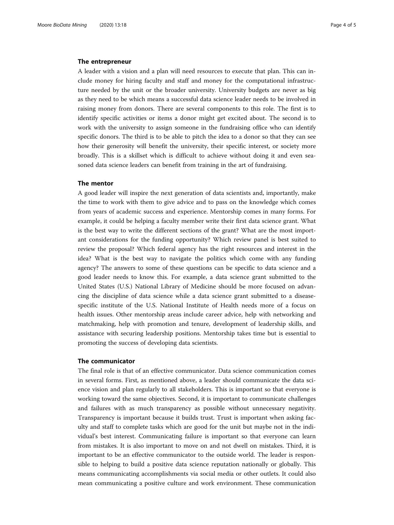#### The entrepreneur

A leader with a vision and a plan will need resources to execute that plan. This can include money for hiring faculty and staff and money for the computational infrastructure needed by the unit or the broader university. University budgets are never as big as they need to be which means a successful data science leader needs to be involved in raising money from donors. There are several components to this role. The first is to identify specific activities or items a donor might get excited about. The second is to work with the university to assign someone in the fundraising office who can identify specific donors. The third is to be able to pitch the idea to a donor so that they can see how their generosity will benefit the university, their specific interest, or society more broadly. This is a skillset which is difficult to achieve without doing it and even seasoned data science leaders can benefit from training in the art of fundraising.

#### The mentor

A good leader will inspire the next generation of data scientists and, importantly, make the time to work with them to give advice and to pass on the knowledge which comes from years of academic success and experience. Mentorship comes in many forms. For example, it could be helping a faculty member write their first data science grant. What is the best way to write the different sections of the grant? What are the most important considerations for the funding opportunity? Which review panel is best suited to review the proposal? Which federal agency has the right resources and interest in the idea? What is the best way to navigate the politics which come with any funding agency? The answers to some of these questions can be specific to data science and a good leader needs to know this. For example, a data science grant submitted to the United States (U.S.) National Library of Medicine should be more focused on advancing the discipline of data science while a data science grant submitted to a diseasespecific institute of the U.S. National Institute of Health needs more of a focus on health issues. Other mentorship areas include career advice, help with networking and matchmaking, help with promotion and tenure, development of leadership skills, and assistance with securing leadership positions. Mentorship takes time but is essential to promoting the success of developing data scientists.

## The communicator

The final role is that of an effective communicator. Data science communication comes in several forms. First, as mentioned above, a leader should communicate the data science vision and plan regularly to all stakeholders. This is important so that everyone is working toward the same objectives. Second, it is important to communicate challenges and failures with as much transparency as possible without unnecessary negativity. Transparency is important because it builds trust. Trust is important when asking faculty and staff to complete tasks which are good for the unit but maybe not in the individual's best interest. Communicating failure is important so that everyone can learn from mistakes. It is also important to move on and not dwell on mistakes. Third, it is important to be an effective communicator to the outside world. The leader is responsible to helping to build a positive data science reputation nationally or globally. This means communicating accomplishments via social media or other outlets. It could also mean communicating a positive culture and work environment. These communication